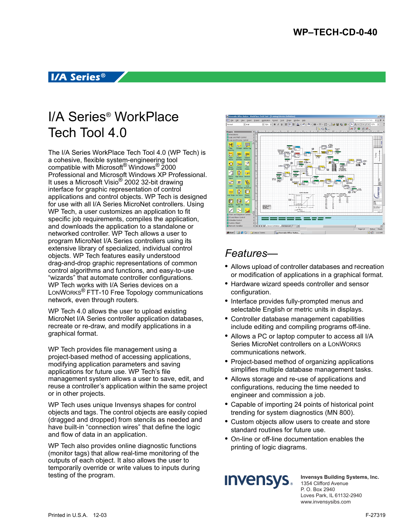## **I/A Series™**

# I/A Series® WorkPlace Tech Tool 4.0

The I/A Series WorkPlace Tech Tool 4.0 (WP Tech) is a cohesive, flexible system-engineering tool compatible with Microsoft® Windows® 2000 Professional and Microsoft Windows XP Professional. It uses a Microsoft Visio® 2002 32-bit drawing interface for graphic representation of control applications and control objects. WP Tech is designed for use with all I/A Series MicroNet controllers. Using WP Tech, a user customizes an application to fit specific job requirements, compiles the application, and downloads the application to a standalone or networked controller. WP Tech allows a user to program MicroNet I/A Series controllers using its extensive library of specialized, individual control objects. WP Tech features easily understood drag-and-drop graphic representations of common control algorithms and functions, and easy-to-use "wizards" that automate controller configurations. WP Tech works with I/A Series devices on a LONWORKS® FTT-10 Free Topology communications network, even through routers.

WP Tech 4.0 allows the user to upload existing MicroNet I/A Series controller application databases, recreate or re-draw, and modify applications in a graphical format.

WP Tech provides file management using a project-based method of accessing applications, modifying application parameters and saving applications for future use. WP Tech's file management system allows a user to save, edit, and reuse a controller's application within the same project or in other projects.

WP Tech uses unique Invensys shapes for control objects and tags. The control objects are easily copied (dragged and dropped) from stencils as needed and have built-in "connection wires" that define the logic and flow of data in an application.

WP Tech also provides online diagnostic functions (monitor tags) that allow real-time monitoring of the outputs of each object. It also allows the user to temporarily override or write values to inputs during testing of the program.



## *Features—*

- **•** Allows upload of controller databases and recreation or modification of applications in a graphical format.
- **•** Hardware wizard speeds controller and sensor configuration.
- **•** Interface provides fully-prompted menus and selectable English or metric units in displays.
- **•** Controller database management capabilities include editing and compiling programs off-line.
- **•** Allows a PC or laptop computer to access all I/A Series MicroNet controllers on a LONWORKS communications network.
- **•** Project-based method of organizing applications simplifies multiple database management tasks.
- **•** Allows storage and re-use of applications and configurations, reducing the time needed to engineer and commission a job.
- **•** Capable of importing 24 points of historical point trending for system diagnostics (MN 800).
- **•** Custom objects allow users to create and store standard routines for future use.
- **•** On-line or off-line documentation enables the printing of logic diagrams.



**Invensys Building Systems, Inc.** 1354 Clifford Avenue P. O. Box 2940 Loves Park, IL 61132-2940 www.invensysibs.com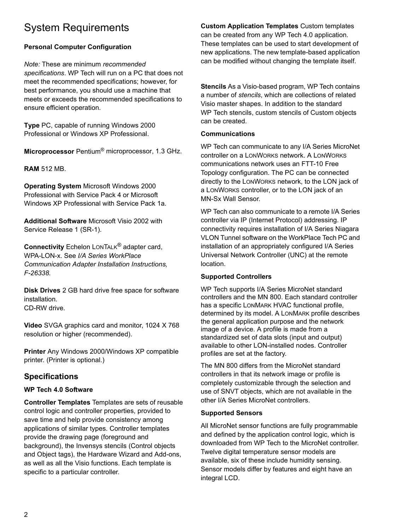## System Requirements

## **Personal Computer Configuration**

*Note:* These are minimum *recommended specifications*. WP Tech will run on a PC that does not meet the recommended specifications; however, for best performance, you should use a machine that meets or exceeds the recommended specifications to ensure efficient operation.

**Type** PC, capable of running Windows 2000 Professional or Windows XP Professional.

**Microprocessor** Pentium® microprocessor, 1.3 GHz.

**RAM** 512 MB.

**Operating System** Microsoft Windows 2000 Professional with Service Pack 4 or Microsoft Windows XP Professional with Service Pack 1a.

**Additional Software** Microsoft Visio 2002 with Service Release 1 (SR-1).

**Connectivity** Echelon LONTALK® adapter card, WPA-LON-x. See *I/A Series WorkPlace Communication Adapter Installation Instructions, F-26338.*

**Disk Drives** 2 GB hard drive free space for software installation. CD-RW drive.

**Video** SVGA graphics card and monitor, 1024 X 768 resolution or higher (recommended).

**Printer** Any Windows 2000/Windows XP compatible printer. (Printer is optional.)

## **Specifications**

### **WP Tech 4.0 Software**

**Controller Templates** Templates are sets of reusable control logic and controller properties, provided to save time and help provide consistency among applications of similar types. Controller templates provide the drawing page (foreground and background), the Invensys stencils (Control objects and Object tags), the Hardware Wizard and Add-ons, as well as all the Visio functions. Each template is specific to a particular controller.

**Custom Application Templates** Custom templates can be created from any WP Tech 4.0 application. These templates can be used to start development of new applications. The new template-based application can be modified without changing the template itself.

**Stencils** As a Visio-based program, WP Tech contains a number of *stencils*, which are collections of related Visio master shapes. In addition to the standard WP Tech stencils, custom stencils of Custom objects can be created.

#### **Communications**

WP Tech can communicate to any I/A Series MicroNet controller on a LONWORKS network. A LONWORKS communications network uses an FTT-10 Free Topology configuration. The PC can be connected directly to the LONWORKS network, to the LON jack of a LONWORKS controller, or to the LON jack of an MN-Sx Wall Sensor.

WP Tech can also communicate to a remote I/A Series controller via IP (Internet Protocol) addressing. IP connectivity requires installation of I/A Series Niagara VLON Tunnel software on the WorkPlace Tech PC and installation of an appropriately configured I/A Series Universal Network Controller (UNC) at the remote location.

### **Supported Controllers**

WP Tech supports I/A Series MicroNet standard controllers and the MN 800. Each standard controller has a specific LONMARK HVAC functional profile, determined by its model. A LONMARK profile describes the general application purpose and the network image of a device. A profile is made from a standardized set of data slots (input and output) available to other LON-installed nodes. Controller profiles are set at the factory.

The MN 800 differs from the MicroNet standard controllers in that its network image or profile is completely customizable through the selection and use of SNVT objects, which are not available in the other I/A Series MicroNet controllers.

### **Supported Sensors**

All MicroNet sensor functions are fully programmable and defined by the application control logic, which is downloaded from WP Tech to the MicroNet controller. Twelve digital temperature sensor models are available, six of these include humidity sensing. Sensor models differ by features and eight have an integral LCD.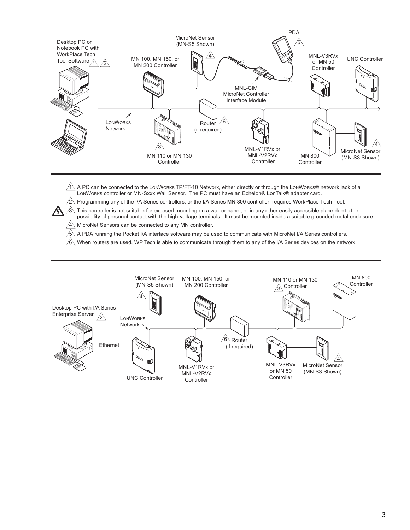

 $1$  A PC can be connected to the LonWorks TP/FT-10 Network, either directly or through the LonWorks® network jack of a LONWORKS controller or MN-Sxxx Wall Sensor. The PC must have an Echelon® LonTalk® adapter card.

 $/2$  Programming any of the I/A Series controllers, or the I/A Series MN 800 controller, requires WorkPlace Tech Tool.

 $\hat{\vartriangle}$  This controller is not suitable for exposed mounting on a wall or panel, or in any other easily accessible place due to the possibility of personal contact with the high-voltage terminals. It must be mounted inside a suitable grounded metal enclosure.

 $\sqrt{4}$  MicroNet Sensors can be connected to any MN controller.

 $\mu$ 

5 A PDA running the Pocket I/A interface software may be used to communicate with MicroNet I/A Series controllers.

 $/6\backslash$  When routers are used, WP Tech is able to communicate through them to any of the I/A Series devices on the network.